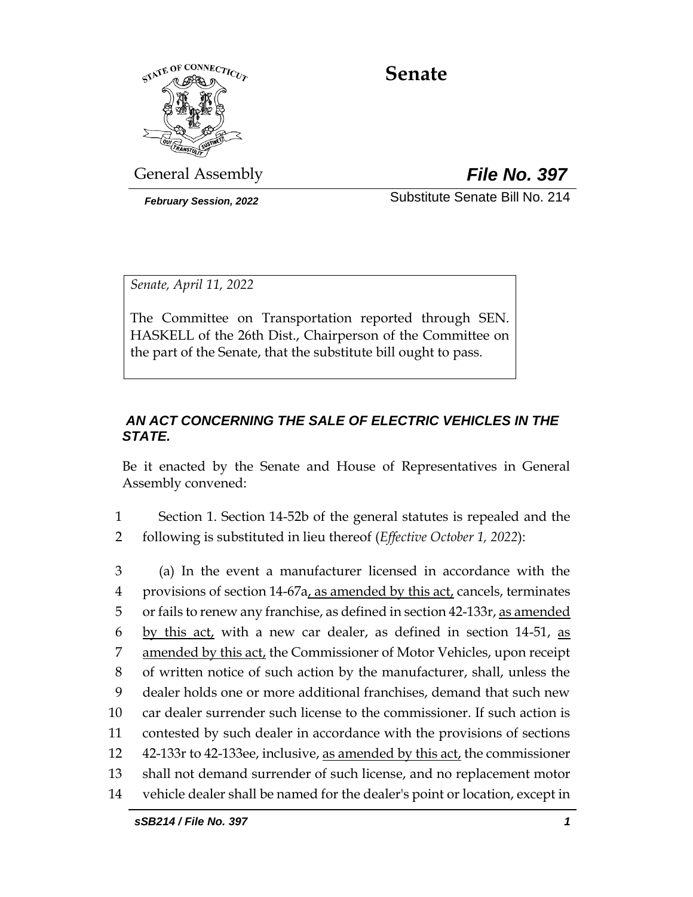

# **Senate**

General Assembly *File No. 397*

*February Session, 2022* Substitute Senate Bill No. 214

*Senate, April 11, 2022*

The Committee on Transportation reported through SEN. HASKELL of the 26th Dist., Chairperson of the Committee on the part of the Senate, that the substitute bill ought to pass.

# *AN ACT CONCERNING THE SALE OF ELECTRIC VEHICLES IN THE STATE.*

Be it enacted by the Senate and House of Representatives in General Assembly convened:

1 Section 1. Section 14-52b of the general statutes is repealed and the 2 following is substituted in lieu thereof (*Effective October 1, 2022*):

 (a) In the event a manufacturer licensed in accordance with the 4 provisions of section 14-67a, as amended by this act, cancels, terminates or fails to renew any franchise, as defined in section 42-133r, as amended 6 by this act, with a new car dealer, as defined in section 14-51, as 7 amended by this act, the Commissioner of Motor Vehicles, upon receipt of written notice of such action by the manufacturer, shall, unless the dealer holds one or more additional franchises, demand that such new car dealer surrender such license to the commissioner. If such action is contested by such dealer in accordance with the provisions of sections 42-133r to 42-133ee, inclusive, as amended by this act, the commissioner shall not demand surrender of such license, and no replacement motor vehicle dealer shall be named for the dealer's point or location, except in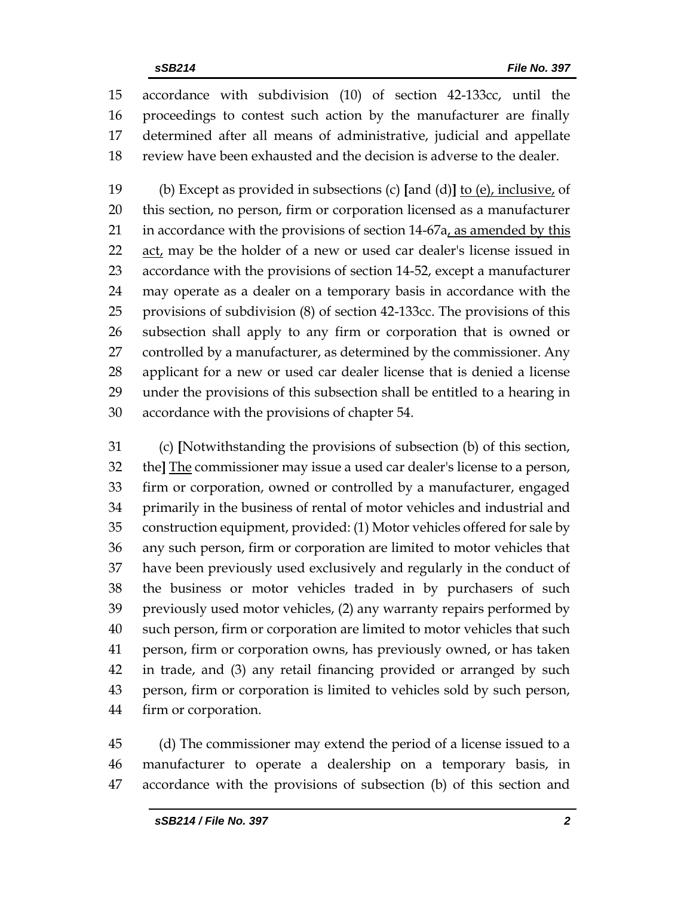accordance with subdivision (10) of section 42-133cc, until the proceedings to contest such action by the manufacturer are finally determined after all means of administrative, judicial and appellate review have been exhausted and the decision is adverse to the dealer.

 (b) Except as provided in subsections (c) **[**and (d)**]** to (e), inclusive, of this section, no person, firm or corporation licensed as a manufacturer in accordance with the provisions of section 14-67a, as amended by this 22 act, may be the holder of a new or used car dealer's license issued in accordance with the provisions of section 14-52, except a manufacturer may operate as a dealer on a temporary basis in accordance with the provisions of subdivision (8) of section 42-133cc. The provisions of this subsection shall apply to any firm or corporation that is owned or controlled by a manufacturer, as determined by the commissioner. Any applicant for a new or used car dealer license that is denied a license under the provisions of this subsection shall be entitled to a hearing in accordance with the provisions of chapter 54.

 (c) **[**Notwithstanding the provisions of subsection (b) of this section, the**]** The commissioner may issue a used car dealer's license to a person, firm or corporation, owned or controlled by a manufacturer, engaged primarily in the business of rental of motor vehicles and industrial and construction equipment, provided: (1) Motor vehicles offered for sale by any such person, firm or corporation are limited to motor vehicles that have been previously used exclusively and regularly in the conduct of the business or motor vehicles traded in by purchasers of such previously used motor vehicles, (2) any warranty repairs performed by such person, firm or corporation are limited to motor vehicles that such person, firm or corporation owns, has previously owned, or has taken in trade, and (3) any retail financing provided or arranged by such person, firm or corporation is limited to vehicles sold by such person, firm or corporation.

 (d) The commissioner may extend the period of a license issued to a manufacturer to operate a dealership on a temporary basis, in accordance with the provisions of subsection (b) of this section and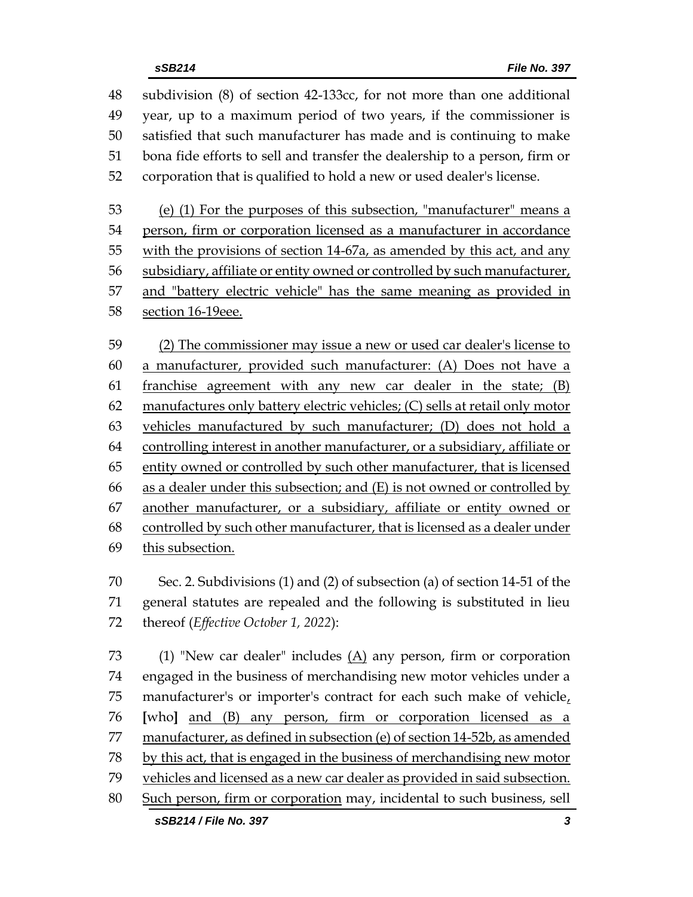subdivision (8) of section 42-133cc, for not more than one additional year, up to a maximum period of two years, if the commissioner is satisfied that such manufacturer has made and is continuing to make bona fide efforts to sell and transfer the dealership to a person, firm or corporation that is qualified to hold a new or used dealer's license. (e) (1) For the purposes of this subsection, "manufacturer" means a person, firm or corporation licensed as a manufacturer in accordance with the provisions of section 14-67a, as amended by this act, and any subsidiary, affiliate or entity owned or controlled by such manufacturer, and "battery electric vehicle" has the same meaning as provided in section 16-19eee. (2) The commissioner may issue a new or used car dealer's license to a manufacturer, provided such manufacturer: (A) Does not have a franchise agreement with any new car dealer in the state; (B) manufactures only battery electric vehicles; (C) sells at retail only motor vehicles manufactured by such manufacturer; (D) does not hold a controlling interest in another manufacturer, or a subsidiary, affiliate or entity owned or controlled by such other manufacturer, that is licensed as a dealer under this subsection; and (E) is not owned or controlled by another manufacturer, or a subsidiary, affiliate or entity owned or

 controlled by such other manufacturer, that is licensed as a dealer under 69 this subsection.

 Sec. 2. Subdivisions (1) and (2) of subsection (a) of section 14-51 of the general statutes are repealed and the following is substituted in lieu thereof (*Effective October 1, 2022*):

 (1) "New car dealer" includes (A) any person, firm or corporation engaged in the business of merchandising new motor vehicles under a 75 manufacturer's or importer's contract for each such make of vehicle, **[**who**]** and (B) any person, firm or corporation licensed as a manufacturer, as defined in subsection (e) of section 14-52b, as amended by this act, that is engaged in the business of merchandising new motor 79 vehicles and licensed as a new car dealer as provided in said subsection. Such person, firm or corporation may, incidental to such business, sell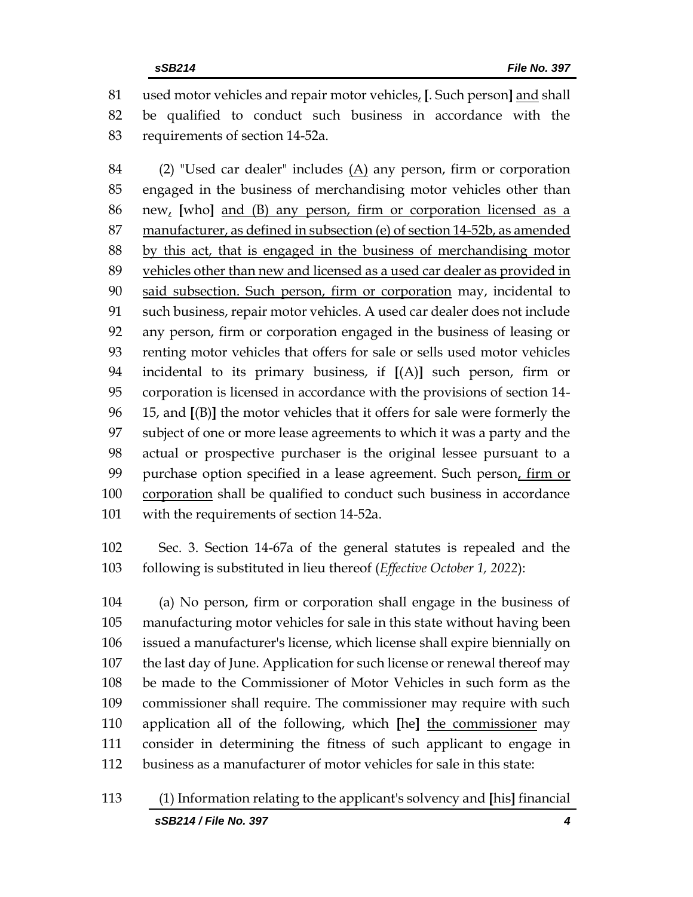used motor vehicles and repair motor vehicles, **[**. Such person**]** and shall be qualified to conduct such business in accordance with the requirements of section 14-52a.

 (2) "Used car dealer" includes (A) any person, firm or corporation engaged in the business of merchandising motor vehicles other than new, **[**who**]** and (B) any person, firm or corporation licensed as a manufacturer, as defined in subsection (e) of section 14-52b, as amended by this act, that is engaged in the business of merchandising motor vehicles other than new and licensed as a used car dealer as provided in 90 said subsection. Such person, firm or corporation may, incidental to such business, repair motor vehicles. A used car dealer does not include any person, firm or corporation engaged in the business of leasing or renting motor vehicles that offers for sale or sells used motor vehicles incidental to its primary business, if **[**(A)**]** such person, firm or corporation is licensed in accordance with the provisions of section 14- 15, and **[**(B)**]** the motor vehicles that it offers for sale were formerly the subject of one or more lease agreements to which it was a party and the actual or prospective purchaser is the original lessee pursuant to a purchase option specified in a lease agreement. Such person, firm or 100 corporation shall be qualified to conduct such business in accordance with the requirements of section 14-52a.

 Sec. 3. Section 14-67a of the general statutes is repealed and the following is substituted in lieu thereof (*Effective October 1, 2022*):

 (a) No person, firm or corporation shall engage in the business of manufacturing motor vehicles for sale in this state without having been issued a manufacturer's license, which license shall expire biennially on the last day of June. Application for such license or renewal thereof may be made to the Commissioner of Motor Vehicles in such form as the commissioner shall require. The commissioner may require with such application all of the following, which **[**he**]** the commissioner may consider in determining the fitness of such applicant to engage in business as a manufacturer of motor vehicles for sale in this state: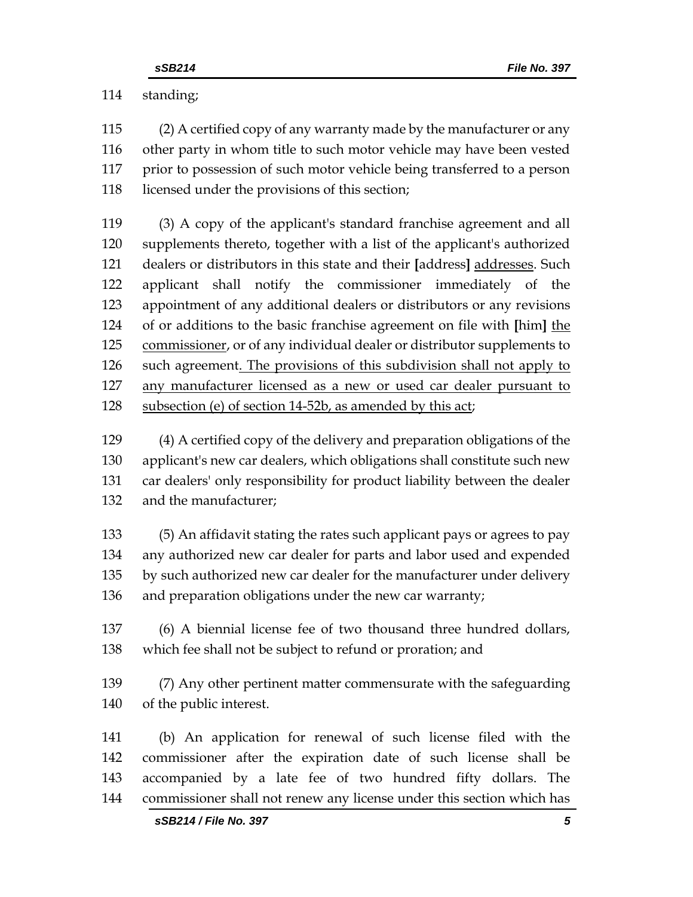standing;

 (2) A certified copy of any warranty made by the manufacturer or any other party in whom title to such motor vehicle may have been vested prior to possession of such motor vehicle being transferred to a person licensed under the provisions of this section;

 (3) A copy of the applicant's standard franchise agreement and all supplements thereto, together with a list of the applicant's authorized dealers or distributors in this state and their **[**address**]** addresses. Such applicant shall notify the commissioner immediately of the appointment of any additional dealers or distributors or any revisions of or additions to the basic franchise agreement on file with **[**him**]** the commissioner, or of any individual dealer or distributor supplements to 126 such agreement. The provisions of this subdivision shall not apply to any manufacturer licensed as a new or used car dealer pursuant to subsection (e) of section 14-52b, as amended by this act;

 (4) A certified copy of the delivery and preparation obligations of the applicant's new car dealers, which obligations shall constitute such new car dealers' only responsibility for product liability between the dealer and the manufacturer;

 (5) An affidavit stating the rates such applicant pays or agrees to pay any authorized new car dealer for parts and labor used and expended by such authorized new car dealer for the manufacturer under delivery and preparation obligations under the new car warranty;

 (6) A biennial license fee of two thousand three hundred dollars, which fee shall not be subject to refund or proration; and

 (7) Any other pertinent matter commensurate with the safeguarding of the public interest.

 (b) An application for renewal of such license filed with the commissioner after the expiration date of such license shall be accompanied by a late fee of two hundred fifty dollars. The commissioner shall not renew any license under this section which has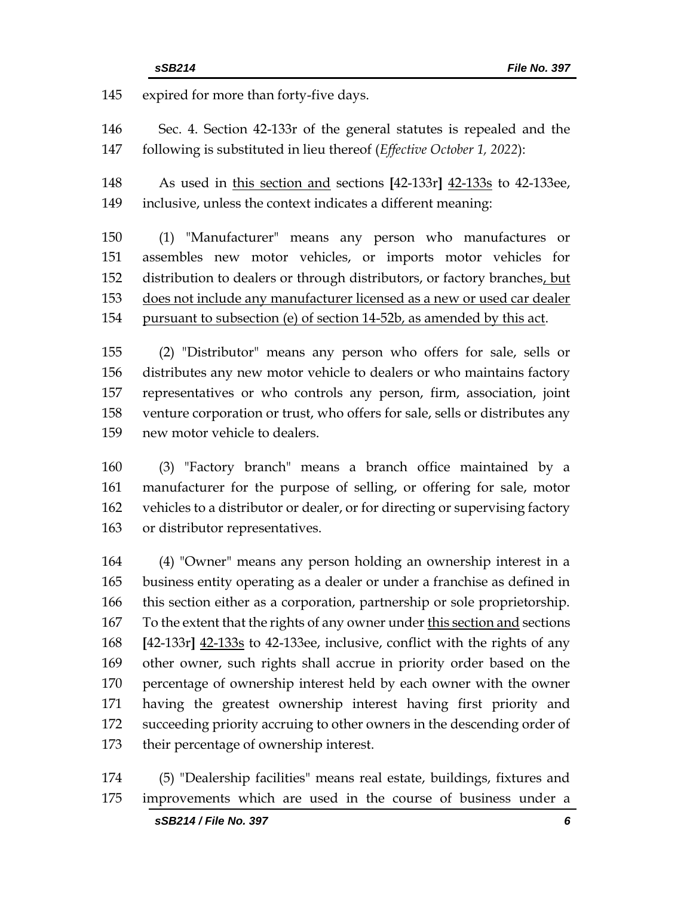expired for more than forty-five days.

 Sec. 4. Section 42-133r of the general statutes is repealed and the following is substituted in lieu thereof (*Effective October 1, 2022*):

 As used in this section and sections **[**42-133r**]** 42-133s to 42-133ee, inclusive, unless the context indicates a different meaning:

 (1) "Manufacturer" means any person who manufactures or assembles new motor vehicles, or imports motor vehicles for distribution to dealers or through distributors, or factory branches, but does not include any manufacturer licensed as a new or used car dealer pursuant to subsection (e) of section 14-52b, as amended by this act.

 (2) "Distributor" means any person who offers for sale, sells or distributes any new motor vehicle to dealers or who maintains factory representatives or who controls any person, firm, association, joint venture corporation or trust, who offers for sale, sells or distributes any new motor vehicle to dealers.

 (3) "Factory branch" means a branch office maintained by a manufacturer for the purpose of selling, or offering for sale, motor vehicles to a distributor or dealer, or for directing or supervising factory or distributor representatives.

 (4) "Owner" means any person holding an ownership interest in a business entity operating as a dealer or under a franchise as defined in this section either as a corporation, partnership or sole proprietorship. To the extent that the rights of any owner under this section and sections **[**42-133r**]** 42-133s to 42-133ee, inclusive, conflict with the rights of any other owner, such rights shall accrue in priority order based on the percentage of ownership interest held by each owner with the owner having the greatest ownership interest having first priority and succeeding priority accruing to other owners in the descending order of their percentage of ownership interest.

 (5) "Dealership facilities" means real estate, buildings, fixtures and improvements which are used in the course of business under a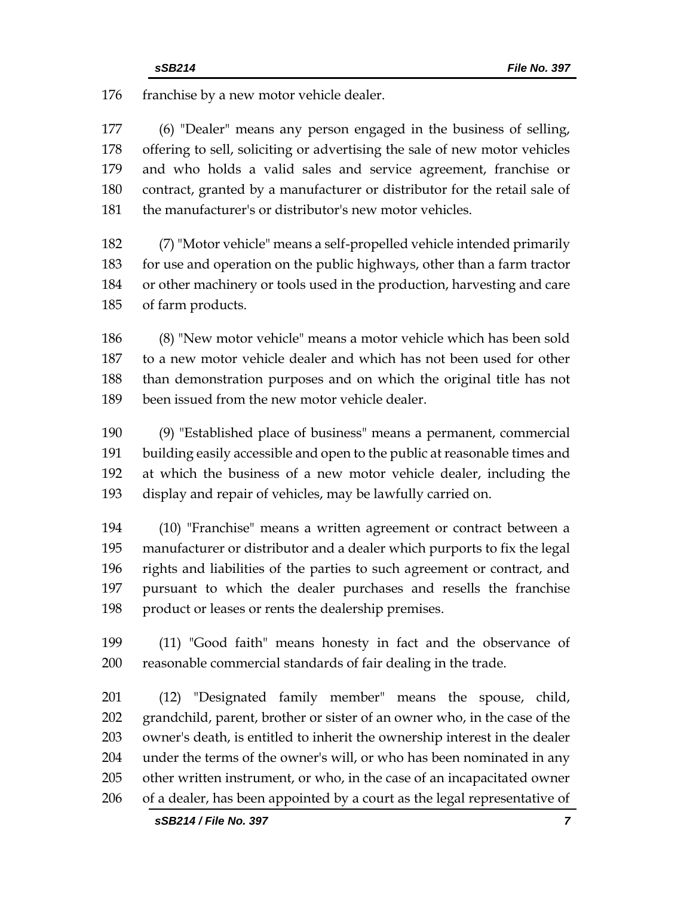franchise by a new motor vehicle dealer.

 (6) "Dealer" means any person engaged in the business of selling, offering to sell, soliciting or advertising the sale of new motor vehicles and who holds a valid sales and service agreement, franchise or contract, granted by a manufacturer or distributor for the retail sale of the manufacturer's or distributor's new motor vehicles.

 (7) "Motor vehicle" means a self-propelled vehicle intended primarily for use and operation on the public highways, other than a farm tractor or other machinery or tools used in the production, harvesting and care of farm products.

 (8) "New motor vehicle" means a motor vehicle which has been sold to a new motor vehicle dealer and which has not been used for other than demonstration purposes and on which the original title has not been issued from the new motor vehicle dealer.

 (9) "Established place of business" means a permanent, commercial building easily accessible and open to the public at reasonable times and at which the business of a new motor vehicle dealer, including the display and repair of vehicles, may be lawfully carried on.

 (10) "Franchise" means a written agreement or contract between a manufacturer or distributor and a dealer which purports to fix the legal rights and liabilities of the parties to such agreement or contract, and pursuant to which the dealer purchases and resells the franchise product or leases or rents the dealership premises.

 (11) "Good faith" means honesty in fact and the observance of reasonable commercial standards of fair dealing in the trade.

 (12) "Designated family member" means the spouse, child, grandchild, parent, brother or sister of an owner who, in the case of the owner's death, is entitled to inherit the ownership interest in the dealer under the terms of the owner's will, or who has been nominated in any other written instrument, or who, in the case of an incapacitated owner of a dealer, has been appointed by a court as the legal representative of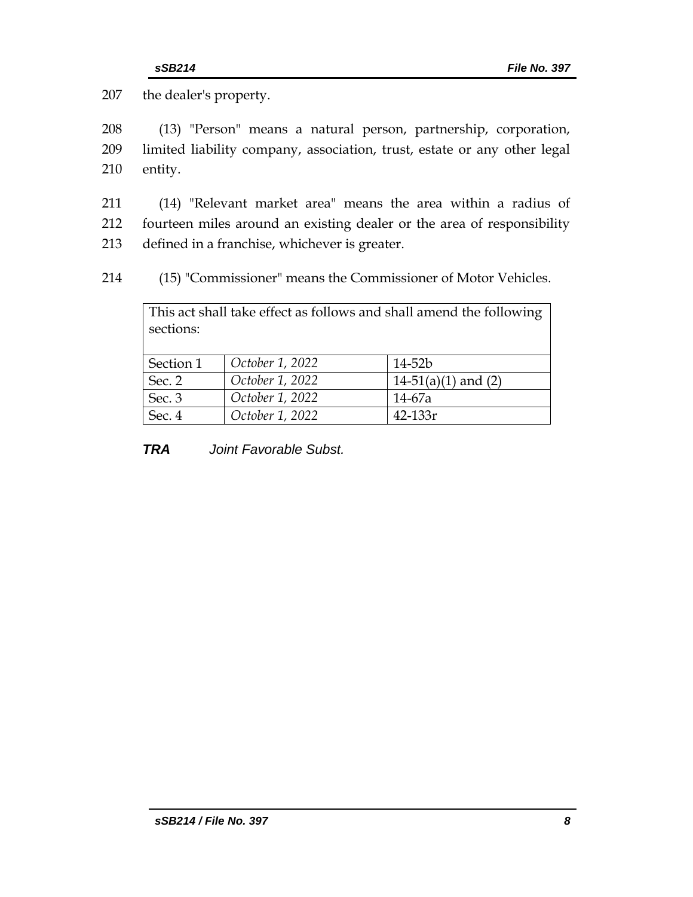207 the dealer's property.

208 (13) "Person" means a natural person, partnership, corporation, 209 limited liability company, association, trust, estate or any other legal 210 entity.

211 (14) "Relevant market area" means the area within a radius of 212 fourteen miles around an existing dealer or the area of responsibility 213 defined in a franchise, whichever is greater.

214 (15) "Commissioner" means the Commissioner of Motor Vehicles.

| This act shall take effect as follows and shall amend the following |                 |                       |  |  |
|---------------------------------------------------------------------|-----------------|-----------------------|--|--|
| sections:                                                           |                 |                       |  |  |
|                                                                     |                 |                       |  |  |
| Section 1                                                           | October 1, 2022 | $14 - 52b$            |  |  |
| Sec. 2                                                              | October 1, 2022 | $14-51(a)(1)$ and (2) |  |  |
| Sec. 3                                                              | October 1, 2022 | 14-67a                |  |  |
| Sec. 4                                                              | October 1, 2022 | $42 - 133r$           |  |  |

*TRA Joint Favorable Subst.*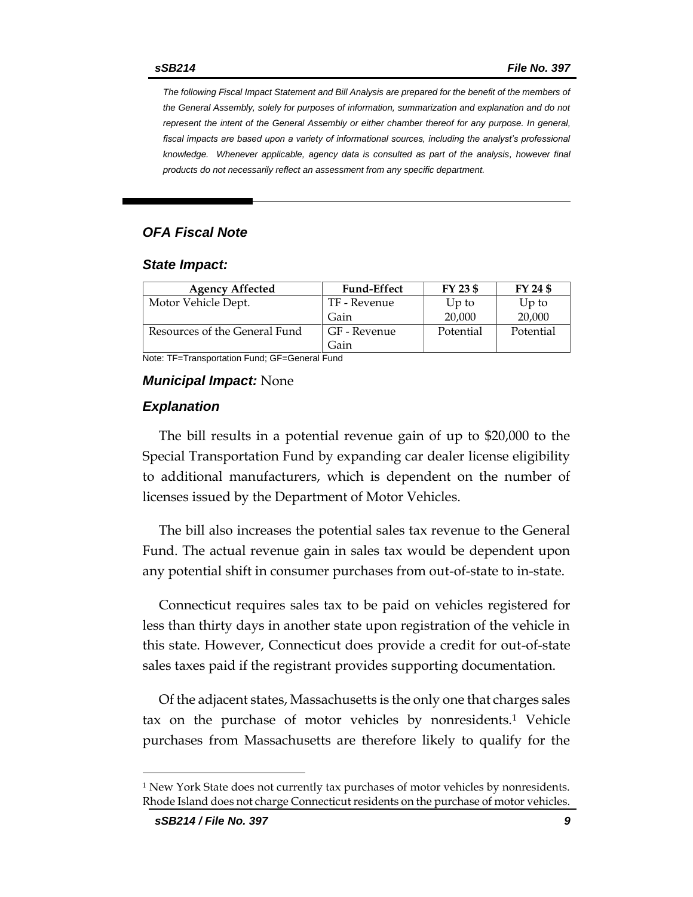*The following Fiscal Impact Statement and Bill Analysis are prepared for the benefit of the members of the General Assembly, solely for purposes of information, summarization and explanation and do not represent the intent of the General Assembly or either chamber thereof for any purpose. In general,*  fiscal impacts are based upon a variety of informational sources, including the analyst's professional *knowledge. Whenever applicable, agency data is consulted as part of the analysis, however final products do not necessarily reflect an assessment from any specific department.*

## *OFA Fiscal Note*

#### *State Impact:*

| <b>Agency Affected</b>        | <b>Fund-Effect</b> | FY 23 \$  | FY 24 \$  |
|-------------------------------|--------------------|-----------|-----------|
| Motor Vehicle Dept.           | TF - Revenue       | $Up$ to   | $Up$ to   |
|                               | Gain               | 20,000    | 20,000    |
| Resources of the General Fund | GF - Revenue       | Potential | Potential |
|                               | Gain               |           |           |

Note: TF=Transportation Fund; GF=General Fund

#### *Municipal Impact:* None

#### *Explanation*

The bill results in a potential revenue gain of up to \$20,000 to the Special Transportation Fund by expanding car dealer license eligibility to additional manufacturers, which is dependent on the number of licenses issued by the Department of Motor Vehicles.

The bill also increases the potential sales tax revenue to the General Fund. The actual revenue gain in sales tax would be dependent upon any potential shift in consumer purchases from out-of-state to in-state.

Connecticut requires sales tax to be paid on vehicles registered for less than thirty days in another state upon registration of the vehicle in this state. However, Connecticut does provide a credit for out-of-state sales taxes paid if the registrant provides supporting documentation.

Of the adjacent states, Massachusetts is the only one that charges sales tax on the purchase of motor vehicles by nonresidents.<sup>1</sup> Vehicle purchases from Massachusetts are therefore likely to qualify for the

<sup>1</sup> New York State does not currently tax purchases of motor vehicles by nonresidents. Rhode Island does not charge Connecticut residents on the purchase of motor vehicles.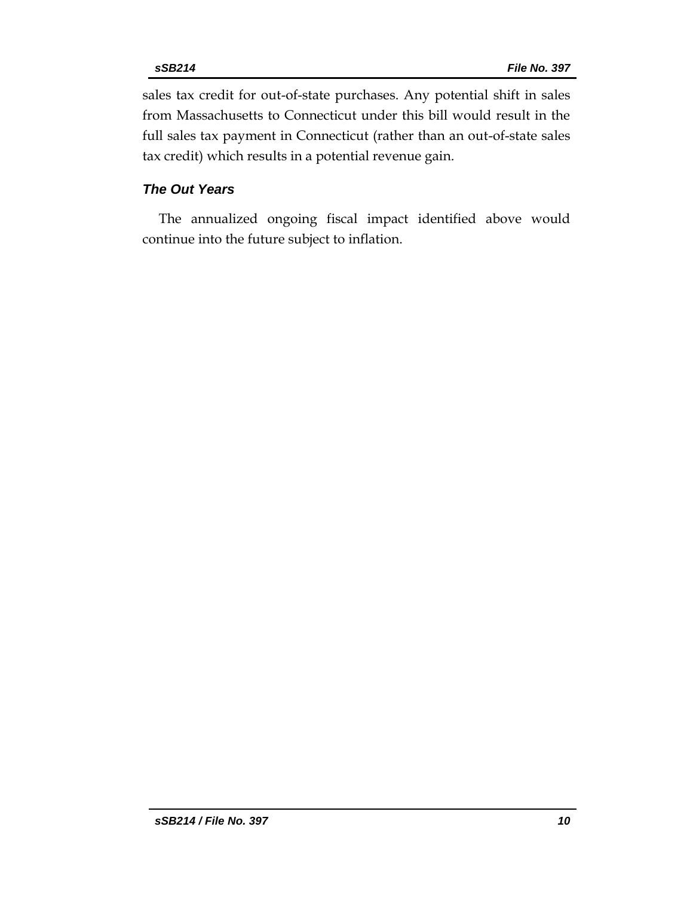sales tax credit for out-of-state purchases. Any potential shift in sales from Massachusetts to Connecticut under this bill would result in the full sales tax payment in Connecticut (rather than an out-of-state sales tax credit) which results in a potential revenue gain.

# *The Out Years*

The annualized ongoing fiscal impact identified above would continue into the future subject to inflation.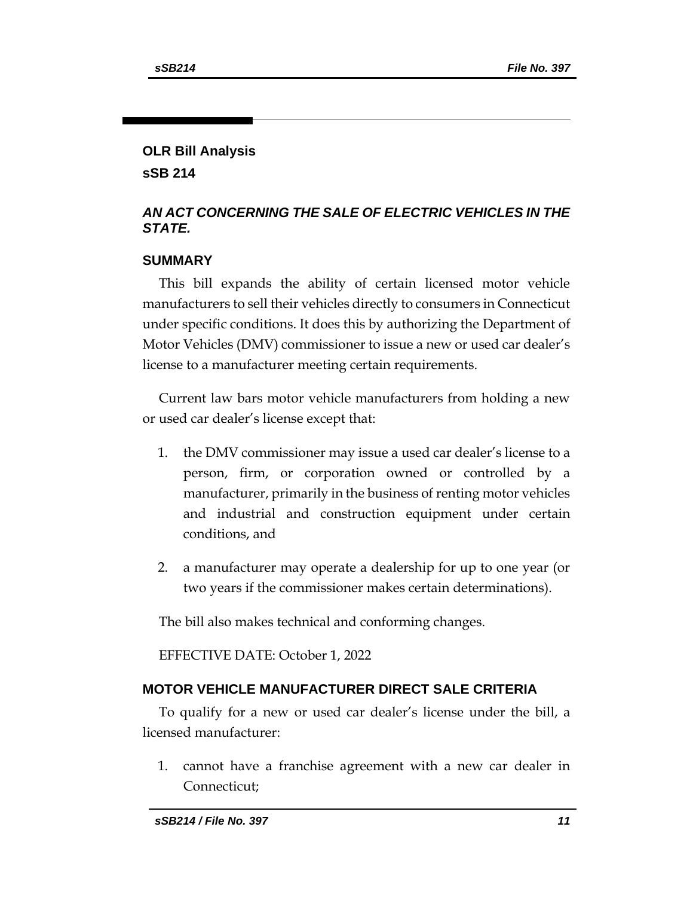# **OLR Bill Analysis**

**sSB 214**

# *AN ACT CONCERNING THE SALE OF ELECTRIC VEHICLES IN THE STATE.*

# **SUMMARY**

This bill expands the ability of certain licensed motor vehicle manufacturers to sell their vehicles directly to consumers in Connecticut under specific conditions. It does this by authorizing the Department of Motor Vehicles (DMV) commissioner to issue a new or used car dealer's license to a manufacturer meeting certain requirements.

Current law bars motor vehicle manufacturers from holding a new or used car dealer's license except that:

- 1. the DMV commissioner may issue a used car dealer's license to a person, firm, or corporation owned or controlled by a manufacturer, primarily in the business of renting motor vehicles and industrial and construction equipment under certain conditions, and
- 2. a manufacturer may operate a dealership for up to one year (or two years if the commissioner makes certain determinations).

The bill also makes technical and conforming changes.

EFFECTIVE DATE: October 1, 2022

# **MOTOR VEHICLE MANUFACTURER DIRECT SALE CRITERIA**

To qualify for a new or used car dealer's license under the bill, a licensed manufacturer:

1. cannot have a franchise agreement with a new car dealer in Connecticut;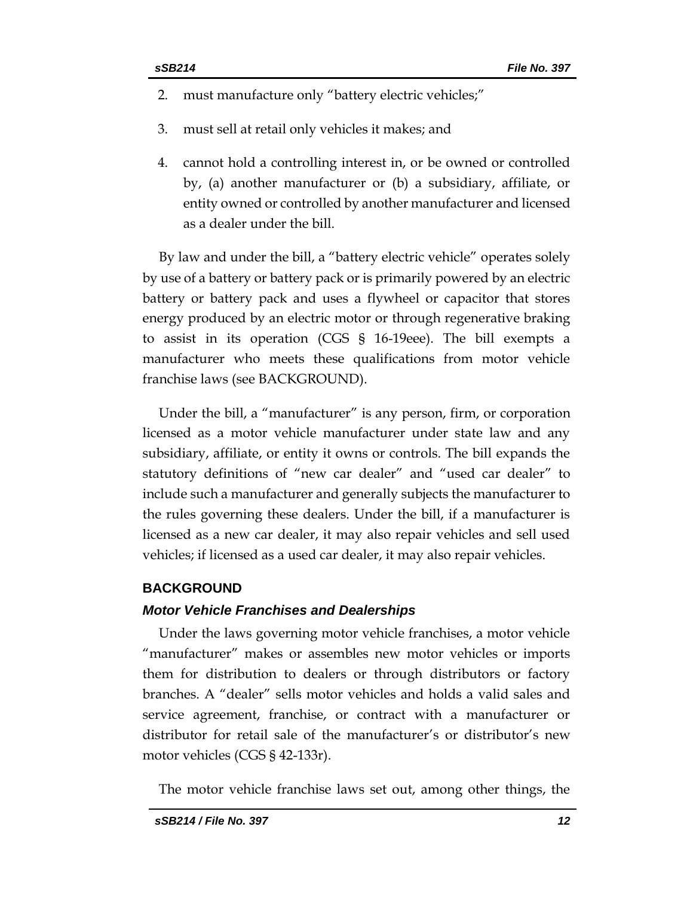- 2. must manufacture only "battery electric vehicles;"
- 3. must sell at retail only vehicles it makes; and
- 4. cannot hold a controlling interest in, or be owned or controlled by, (a) another manufacturer or (b) a subsidiary, affiliate, or entity owned or controlled by another manufacturer and licensed as a dealer under the bill.

By law and under the bill, a "battery electric vehicle" operates solely by use of a battery or battery pack or is primarily powered by an electric battery or battery pack and uses a flywheel or capacitor that stores energy produced by an electric motor or through regenerative braking to assist in its operation (CGS § 16-19eee). The bill exempts a manufacturer who meets these qualifications from motor vehicle franchise laws (see BACKGROUND).

Under the bill, a "manufacturer" is any person, firm, or corporation licensed as a motor vehicle manufacturer under state law and any subsidiary, affiliate, or entity it owns or controls. The bill expands the statutory definitions of "new car dealer" and "used car dealer" to include such a manufacturer and generally subjects the manufacturer to the rules governing these dealers. Under the bill, if a manufacturer is licensed as a new car dealer, it may also repair vehicles and sell used vehicles; if licensed as a used car dealer, it may also repair vehicles.

## **BACKGROUND**

## *Motor Vehicle Franchises and Dealerships*

Under the laws governing motor vehicle franchises, a motor vehicle "manufacturer" makes or assembles new motor vehicles or imports them for distribution to dealers or through distributors or factory branches. A "dealer" sells motor vehicles and holds a valid sales and service agreement, franchise, or contract with a manufacturer or distributor for retail sale of the manufacturer's or distributor's new motor vehicles (CGS § 42-133r).

The motor vehicle franchise laws set out, among other things, the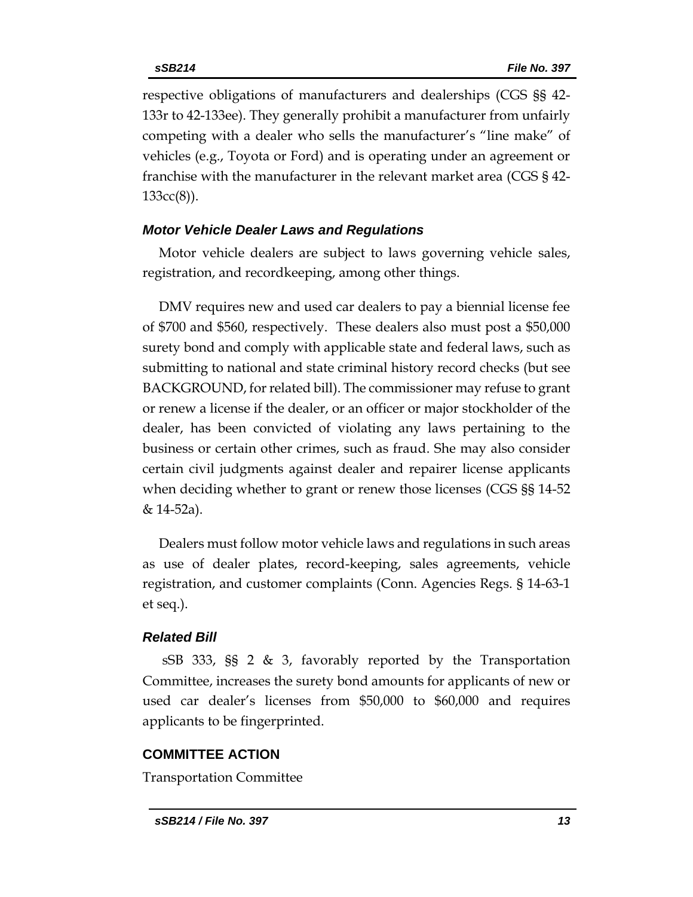respective obligations of manufacturers and dealerships (CGS §§ 42- 133r to 42-133ee). They generally prohibit a manufacturer from unfairly competing with a dealer who sells the manufacturer's "line make" of vehicles (e.g., Toyota or Ford) and is operating under an agreement or franchise with the manufacturer in the relevant market area (CGS § 42- 133cc(8)).

## *Motor Vehicle Dealer Laws and Regulations*

Motor vehicle dealers are subject to laws governing vehicle sales, registration, and recordkeeping, among other things.

DMV requires new and used car dealers to pay a biennial license fee of \$700 and \$560, respectively. These dealers also must post a \$50,000 surety bond and comply with applicable state and federal laws, such as submitting to national and state criminal history record checks (but see BACKGROUND, for related bill). The commissioner may refuse to grant or renew a license if the dealer, or an officer or major stockholder of the dealer, has been convicted of violating any laws pertaining to the business or certain other crimes, such as fraud. She may also consider certain civil judgments against dealer and repairer license applicants when deciding whether to grant or renew those licenses (CGS §§ 14-52 & 14-52a).

Dealers must follow motor vehicle laws and regulations in such areas as use of dealer plates, record-keeping, sales agreements, vehicle registration, and customer complaints (Conn. Agencies Regs. § 14-63-1 et seq.).

## *Related Bill*

sSB 333, §§ 2 & 3, favorably reported by the Transportation Committee, increases the surety bond amounts for applicants of new or used car dealer's licenses from \$50,000 to \$60,000 and requires applicants to be fingerprinted.

## **COMMITTEE ACTION**

Transportation Committee